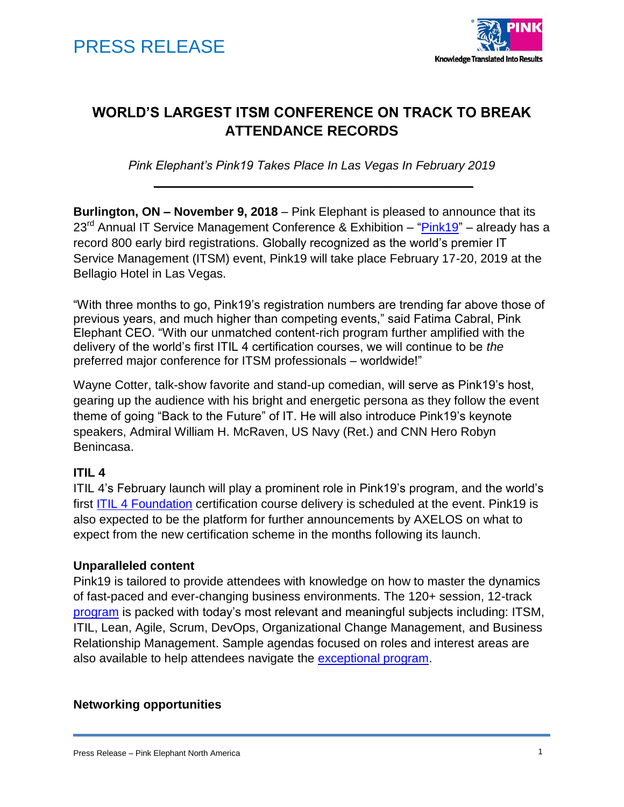



# **WORLD'S LARGEST ITSM CONFERENCE ON TRACK TO BREAK ATTENDANCE RECORDS**

*Pink Elephant's Pink19 Takes Place In Las Vegas In February 2019* **\_\_\_\_\_\_\_\_\_\_\_\_\_\_\_\_\_\_\_\_\_\_\_\_\_\_\_\_\_\_\_\_\_\_\_\_\_\_\_\_\_\_\_\_\_\_\_**

**Burlington, ON – November 9, 2018** – Pink Elephant is pleased to announce that its  $23<sup>rd</sup>$  Annual IT Service Management Conference & Exhibition – ["Pink19"](http://www.pinkelephant.com/pink19) – already has a record 800 early bird registrations. Globally recognized as the world's premier IT Service Management (ITSM) event, Pink19 will take place February 17-20, 2019 at the Bellagio Hotel in Las Vegas.

"With three months to go, Pink19's registration numbers are trending far above those of previous years, and much higher than competing events," said Fatima Cabral, Pink Elephant CEO. "With our unmatched content-rich program further amplified with the delivery of the world's first ITIL 4 certification courses, we will continue to be *the* preferred major conference for ITSM professionals – worldwide!"

Wayne Cotter, talk-show favorite and stand-up comedian, will serve as Pink19's host, gearing up the audience with his bright and energetic persona as they follow the event theme of going "Back to the Future" of IT. He will also introduce Pink19's keynote speakers, Admiral William H. McRaven, US Navy (Ret.) and CNN Hero Robyn Benincasa.

### **ITIL 4**

ITIL 4's February launch will play a prominent role in Pink19's program, and the world's first **ITIL 4 Foundation** certification course delivery is scheduled at the event. Pink19 is also expected to be the platform for further announcements by AXELOS on what to expect from the new certification scheme in the months following its launch.

#### **Unparalleled content**

Pink19 is tailored to provide attendees with knowledge on how to master the dynamics of fast-paced and ever-changing business environments. The 120+ session, 12-track [program](https://www.pinkelephant.com/en-us/Pink19/program) is packed with today's most relevant and meaningful subjects including: ITSM, ITIL, Lean, Agile, Scrum, DevOps, Organizational Change Management, and Business Relationship Management. Sample agendas focused on roles and interest areas are also available to help attendees navigate the [exceptional program.](https://www.pinkelephant.com/en-US/Pink19/agenda)

#### **Networking opportunities**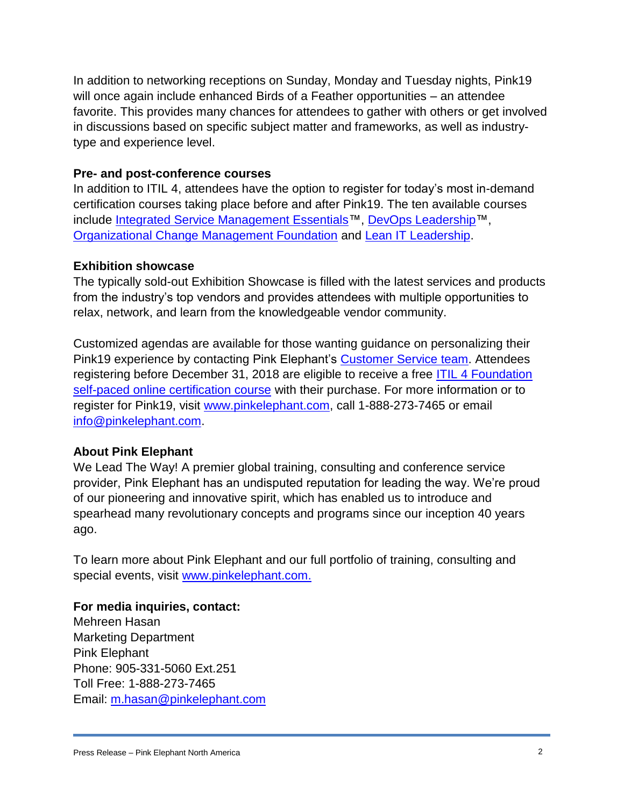In addition to networking receptions on Sunday, Monday and Tuesday nights, Pink19 will once again include enhanced Birds of a Feather opportunities – an attendee favorite. This provides many chances for attendees to gather with others or get involved in discussions based on specific subject matter and frameworks, as well as industrytype and experience level.

### **Pre- and post-conference courses**

In addition to ITIL 4, attendees have the option to register for today's most in-demand certification courses taking place before and after Pink19. The ten available courses include [Integrated Service Management Essentials™](https://www.pinkelephant.com/en-US/Course/Integrated-Service-Management-Essentials), [DevOps Leadership™](https://www.pinkelephant.com/en-US/Course/DevOps-Leadership), [Organizational Change Management Foundation](https://www.pinkelephant.com/en-US/Course/Organizational-Change-Management-Foundation) and [Lean IT Leadership.](https://www.pinkelephant.com/en-US/Course/Lean-IT-Leadership)

### **Exhibition showcase**

The typically sold-out Exhibition Showcase is filled with the latest services and products from the industry's top vendors and provides attendees with multiple opportunities to relax, network, and learn from the knowledgeable vendor community.

Customized agendas are available for those wanting guidance on personalizing their Pink19 experience by contacting Pink Elephant's [Customer Service team.](mailto:info@pinkelephant.com) Attendees registering before December 31, 2018 are eligible to receive a free [ITIL 4 Foundation](https://www.pinkelephant.com/en-US/Course/ITIL-4-Foundation)  [self-paced online certification course](https://www.pinkelephant.com/en-US/Course/ITIL-4-Foundation) with their purchase. For more information or to register for Pink19, visit [www.pinkelephant.com,](http://www.pinkelephant.com/) call 1-888-273-7465 or email [info@pinkelephant.com.](mailto:info@pinkelephant.com)

# **About Pink Elephant**

We Lead The Way! A premier global training, consulting and conference service provider, Pink Elephant has an undisputed reputation for leading the way. We're proud of our pioneering and innovative spirit, which has enabled us to introduce and spearhead many revolutionary concepts and programs since our inception 40 years ago.

To learn more about Pink Elephant and our full portfolio of training, consulting and special events, visit [www.pinkelephant.com.](http://www.pinkelephant.com/)

# **For media inquiries, contact:**

Mehreen Hasan Marketing Department Pink Elephant Phone: 905-331-5060 Ext.251 Toll Free: 1-888-273-7465 Email: [m.hasan@pinkelephant.com](mailto:m.hasan@pinkelephant.com)